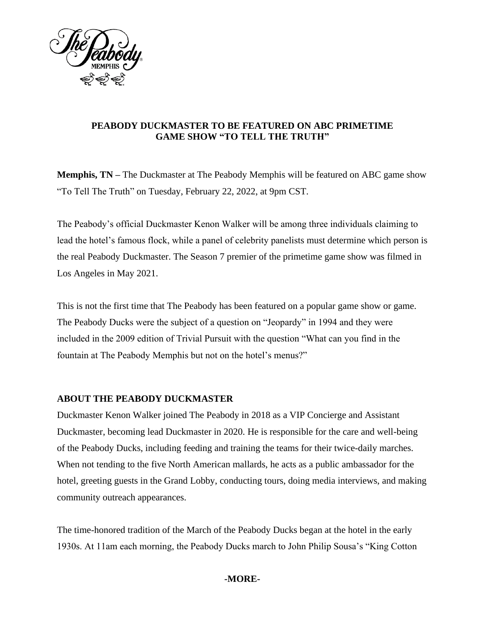

## **PEABODY DUCKMASTER TO BE FEATURED ON ABC PRIMETIME GAME SHOW "TO TELL THE TRUTH"**

**Memphis, TN –** The Duckmaster at The Peabody Memphis will be featured on ABC game show "To Tell The Truth" on Tuesday, February 22, 2022, at 9pm CST.

The Peabody's official Duckmaster Kenon Walker will be among three individuals claiming to lead the hotel's famous flock, while a panel of celebrity panelists must determine which person is the real Peabody Duckmaster. The Season 7 premier of the primetime game show was filmed in Los Angeles in May 2021.

This is not the first time that The Peabody has been featured on a popular game show or game. The Peabody Ducks were the subject of a question on "Jeopardy" in 1994 and they were included in the 2009 edition of Trivial Pursuit with the question "What can you find in the fountain at The Peabody Memphis but not on the hotel's menus?"

# **ABOUT THE PEABODY DUCKMASTER**

Duckmaster Kenon Walker joined The Peabody in 2018 as a VIP Concierge and Assistant Duckmaster, becoming lead Duckmaster in 2020. He is responsible for the care and well-being of the Peabody Ducks, including feeding and training the teams for their twice-daily marches. When not tending to the five North American mallards, he acts as a public ambassador for the hotel, greeting guests in the Grand Lobby, conducting tours, doing media interviews, and making community outreach appearances.

The time-honored tradition of the March of the Peabody Ducks began at the hotel in the early 1930s. At 11am each morning, the Peabody Ducks march to John Philip Sousa's "King Cotton

## **-MORE-**